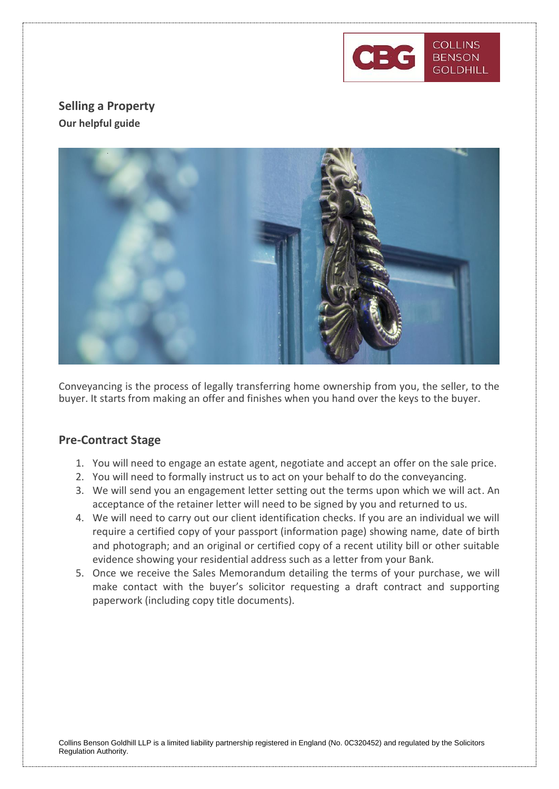

# **Selling a Property Our helpful guide**



Conveyancing is the process of legally transferring home ownership from you, the seller, to the buyer. It starts from making an offer and finishes when you hand over the keys to the buyer.

## **Pre-Contract Stage**

- 1. You will need to engage an estate agent, negotiate and accept an offer on the sale price.
- 2. You will need to formally instruct us to act on your behalf to do the conveyancing.
- 3. We will send you an engagement letter setting out the terms upon which we will act. An acceptance of the retainer letter will need to be signed by you and returned to us.
- 4. We will need to carry out our client identification checks. If you are an individual we will require a certified copy of your passport (information page) showing name, date of birth and photograph; and an original or certified copy of a recent utility bill or other suitable evidence showing your residential address such as a letter from your Bank.
- 5. Once we receive the Sales Memorandum detailing the terms of your purchase, we will make contact with the buyer's solicitor requesting a draft contract and supporting paperwork (including copy title documents).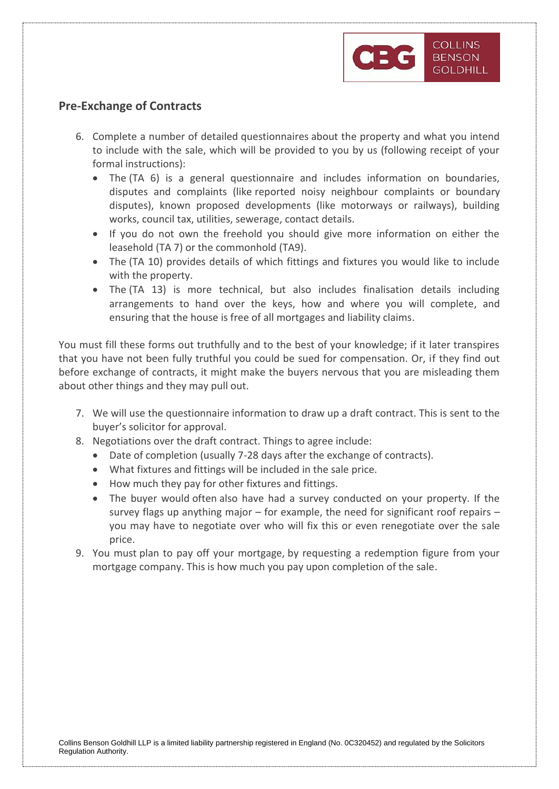

## **Pre-Exchange of Contracts**

- 6. Complete a number of detailed questionnaires about the property and what you intend to include with the sale, which will be provided to you by us (following receipt of your formal instructions):
	- The (TA 6) is a general questionnaire and includes information on boundaries, disputes and complaints (like reported noisy neighbour complaints or boundary disputes), known proposed developments (like motorways or railways), building works, council tax, utilities, sewerage, contact details.
	- If you do not own the freehold you should give more information on either the leasehold (TA 7) or the commonhold (TA9).
	- The (TA 10) provides details of which fittings and fixtures you would like to include with the property.
	- The (TA 13) is more technical, but also includes finalisation details including arrangements to hand over the keys, how and where you will complete, and ensuring that the house is free of all mortgages and liability claims.

You must fill these forms out truthfully and to the best of your knowledge; if it later transpires that you have not been fully truthful you could be sued for compensation. Or, if they find out before exchange of contracts, it might make the buyers nervous that you are misleading them about other things and they may pull out.

- 7. We will use the questionnaire information to draw up a draft contract. This is sent to the buyer's solicitor for approval.
- 8. Negotiations over the draft contract. Things to agree include:
	- Date of completion (usually 7-28 days after the exchange of contracts).
	- What fixtures and fittings will be included in the sale price.
	- How much they pay for other fixtures and fittings.
	- The buyer would often also have had a survey conducted on your property. If the survey flags up anything major  $-$  for example, the need for significant roof repairs  $$ you may have to negotiate over who will fix this or even renegotiate over the sale price.
- 9. You must plan to pay off your mortgage, by requesting a redemption figure from your mortgage company. This is how much you pay upon completion of the sale.